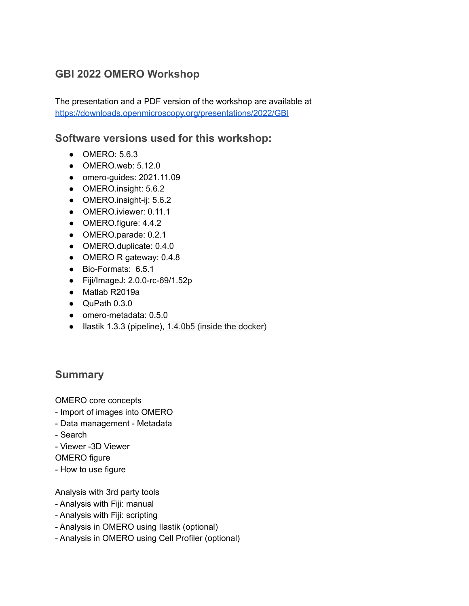## **GBI 2022 OMERO Workshop**

The presentation and a PDF version of the workshop are available at <https://downloads.openmicroscopy.org/presentations/2022/GBI>

### **Software versions used for this workshop:**

- **OMERO: 5.6.3**
- OMERO.web: 5.12.0
- omero-guides: 2021.11.09
- OMERO.insight: 5.6.2
- OMERO.insight-ij: 5.6.2
- OMERO.iviewer: 0.11.1
- OMERO.figure: 4.4.2
- OMERO.parade: 0.2.1
- OMERO.duplicate: 0.4.0
- OMERO R gateway: 0.4.8
- Bio-Formats: 6.5.1
- Fiji/ImageJ: 2.0.0-rc-69/1.52p
- Matlab R2019a
- QuPath 0.3.0
- omero-metadata: 0.5.0
- Ilastik 1.3.3 (pipeline), 1.4.0b5 (inside the docker)

## **Summary**

OMERO core concepts

- Import of images into OMERO
- Data management Metadata
- Search
- Viewer -3D Viewer
- OMERO figure
- How to use figure

Analysis with 3rd party tools

- Analysis with Fiji: manual
- Analysis with Fiji: scripting
- Analysis in OMERO using Ilastik (optional)
- Analysis in OMERO using Cell Profiler (optional)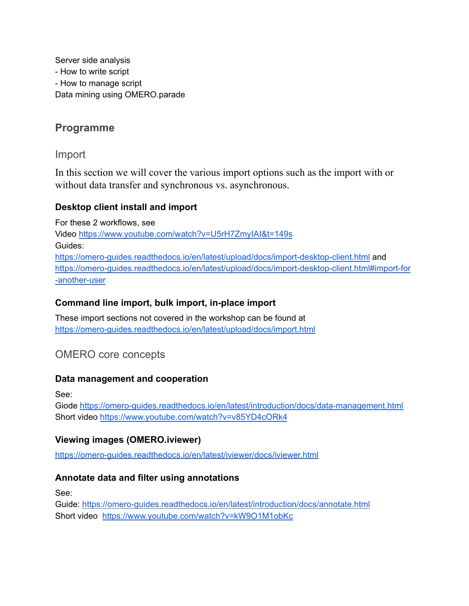Server side analysis - How to write script - How to manage script Data mining using OMERO.parade

## **Programme**

Import

In this section we will cover the various import options such as the import with or without data transfer and synchronous vs. asynchronous.

#### **Desktop client install and import**

For these 2 workflows, see Video <https://www.youtube.com/watch?v=U5rH7ZmyIAI&t=149s> Guides: <https://omero-guides.readthedocs.io/en/latest/upload/docs/import-desktop-client.html> and [https://omero-guides.readthedocs.io/en/latest/upload/docs/import-desktop-client.html#import-for](https://omero-guides.readthedocs.io/en/latest/upload/docs/import-desktop-client.html#import-for-another-user) [-another-user](https://omero-guides.readthedocs.io/en/latest/upload/docs/import-desktop-client.html#import-for-another-user)

### **Command line import, bulk import, in-place import**

These import sections not covered in the workshop can be found at <https://omero-guides.readthedocs.io/en/latest/upload/docs/import.html>

## OMERO core concepts

#### **Data management and cooperation**

See:

Giode <https://omero-guides.readthedocs.io/en/latest/introduction/docs/data-management.html> Short video <https://www.youtube.com/watch?v=v85YD4cORk4>

### **Viewing images (OMERO.iviewer)**

<https://omero-guides.readthedocs.io/en/latest/iviewer/docs/iviewer.html>

#### **Annotate data and filter using annotations**

See:

Guide: <https://omero-guides.readthedocs.io/en/latest/introduction/docs/annotate.html> Short video <https://www.youtube.com/watch?v=kW9O1M1obKc>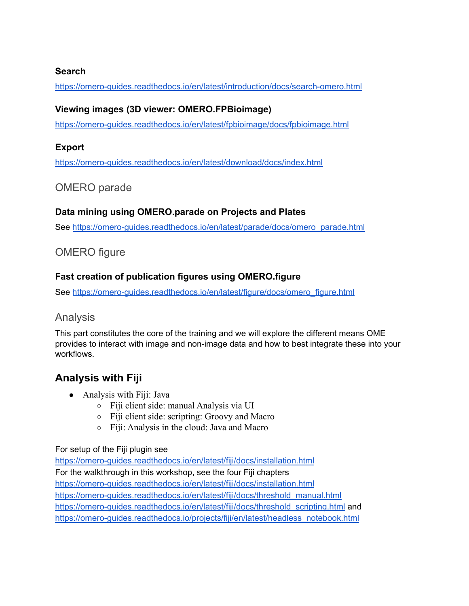#### **Search**

<https://omero-guides.readthedocs.io/en/latest/introduction/docs/search-omero.html>

### **Viewing images (3D viewer: OMERO.FPBioimage)**

<https://omero-guides.readthedocs.io/en/latest/fpbioimage/docs/fpbioimage.html>

### **Export**

<https://omero-guides.readthedocs.io/en/latest/download/docs/index.html>

## OMERO parade

### **Data mining using OMERO.parade on Projects and Plates**

See [https://omero-guides.readthedocs.io/en/latest/parade/docs/omero\\_parade.html](https://omero-guides.readthedocs.io/en/latest/parade/docs/omero_parade.html)

## OMERO figure

### **Fast creation of publication figures using OMERO.figure**

See [https://omero-guides.readthedocs.io/en/latest/figure/docs/omero\\_figure.html](https://omero-guides.readthedocs.io/en/latest/figure/docs/omero_figure.html)

### Analysis

This part constitutes the core of the training and we will explore the different means OME provides to interact with image and non-image data and how to best integrate these into your workflows.

## **Analysis with Fiji**

- Analysis with Fiji: Java
	- Fiji client side: manual Analysis via UI
	- Fiji client side: scripting: Groovy and Macro
	- Fiji: Analysis in the cloud: Java and Macro

#### For setup of the Fiji plugin see

<https://omero-guides.readthedocs.io/en/latest/fiji/docs/installation.html> For the walkthrough in this workshop, see the four Fiji chapters <https://omero-guides.readthedocs.io/en/latest/fiji/docs/installation.html> [https://omero-guides.readthedocs.io/en/latest/fiji/docs/threshold\\_manual.html](https://omero-guides.readthedocs.io/en/latest/fiji/docs/threshold_manual.html) https://omero-guides.readthedocs.jo/en/latest/fiji/docs/threshold\_scripting.html and [https://omero-guides.readthedocs.io/projects/fiji/en/latest/headless\\_notebook.html](https://omero-guides.readthedocs.io/projects/fiji/en/latest/headless_notebook.html)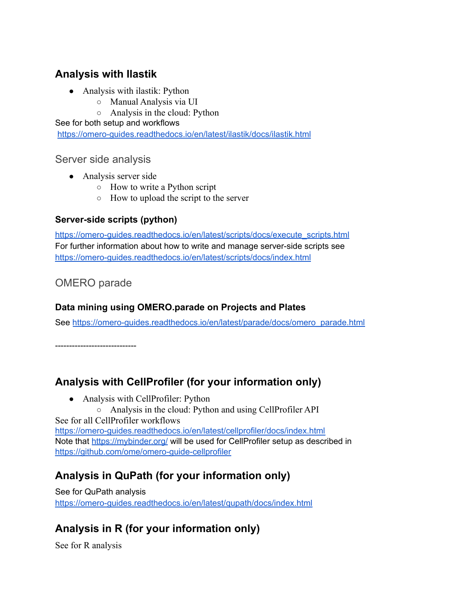## **Analysis with Ilastik**

- Analysis with ilastik: Python
	- Manual Analysis via UI
	- Analysis in the cloud: Python

See for both setup and workflows

<https://omero-guides.readthedocs.io/en/latest/ilastik/docs/ilastik.html>

#### Server side analysis

- Analysis server side
	- How to write a Python script
	- How to upload the script to the server

### **Server-side scripts (python)**

[https://omero-guides.readthedocs.io/en/latest/scripts/docs/execute\\_scripts.html](https://omero-guides.readthedocs.io/en/latest/scripts/docs/execute_scripts.html) For further information about how to write and manage server-side scripts see <https://omero-guides.readthedocs.io/en/latest/scripts/docs/index.html>

## OMERO parade

### **Data mining using OMERO.parade on Projects and Plates**

See [https://omero-guides.readthedocs.io/en/latest/parade/docs/omero\\_parade.html](https://omero-guides.readthedocs.io/en/latest/parade/docs/omero_parade.html)

-----------------------------

## **Analysis with CellProfiler (for your information only)**

• Analysis with CellProfiler: Python

○ Analysis in the cloud: Python and using CellProfiler API See for all CellProfiler workflows <https://omero-guides.readthedocs.io/en/latest/cellprofiler/docs/index.html> Note that <https://mybinder.org/> will be used for CellProfiler setup as described in <https://github.com/ome/omero-guide-cellprofiler>

# **Analysis in QuPath (for your information only)**

See for QuPath analysis <https://omero-guides.readthedocs.io/en/latest/qupath/docs/index.html>

# **Analysis in R (for your information only)**

See for R analysis